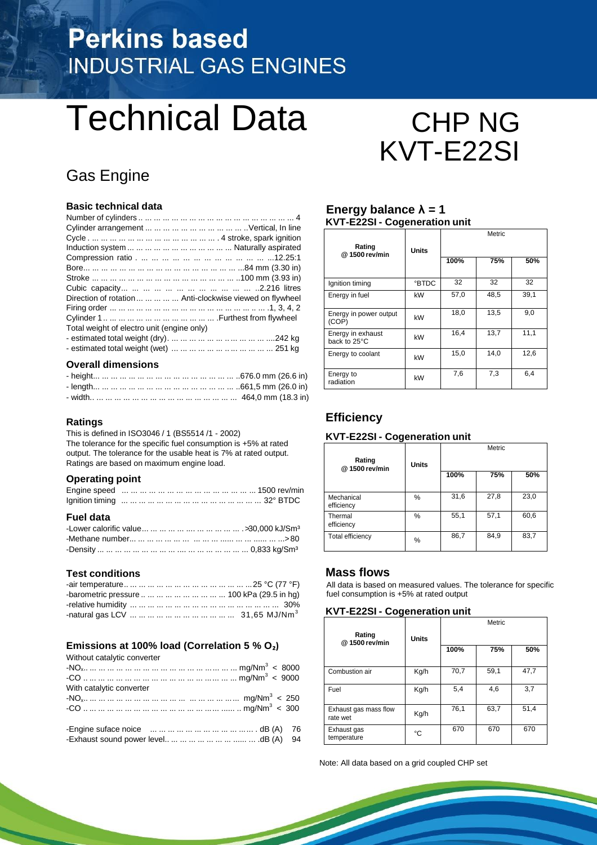# **Perkins based INDUSTRIAL GAS ENGINES**

# Technical Data CHP NG

## Gas Engine

#### **Basic technical data**

| Direction of rotation      Anti-clockwise viewed on flywheel |
|--------------------------------------------------------------|
|                                                              |
|                                                              |
| Total weight of electro unit (engine only)                   |
|                                                              |
|                                                              |

#### **Overall dimensions**

#### **Ratings**

This is defined in ISO3046 / 1 (BS5514 /1 - 2002) The tolerance for the specific fuel consumption is +5% at rated output. The tolerance for the usable heat is 7% at rated output. Ratings are based on maximum engine load.

#### **Operating point**

#### **Fuel data**

#### **Test conditions**

| -barometric pressure          100 kPa (29.5 in hg) |  |
|----------------------------------------------------|--|
|                                                    |  |
|                                                    |  |

#### **Emissions at 100% load (Correlation 5 % O₂)**  $W<sub>th</sub>$  catalytic converter

| <i>vvithout catalytic converter</i> |  |
|-------------------------------------|--|
|                                     |  |
|                                     |  |
| With catalytic converter            |  |
|                                     |  |
|                                     |  |
|                                     |  |
|                                     |  |
|                                     |  |

# KVT-E22SI

#### **Energy balance λ = 1 KVT-E22SI - Cogeneration unit**

| Rating<br>@ 1500 rev/min          | Units       |      | Metric |      |
|-----------------------------------|-------------|------|--------|------|
|                                   |             | 100% | 75%    | 50%  |
| Ignition timing                   | <b>BTDC</b> | 32   | 32     | 32   |
| Energy in fuel                    | kW          | 57,0 | 48,5   | 39,1 |
| Energy in power output<br>(COP)   | kW          | 18,0 | 13,5   | 9,0  |
| Energy in exhaust<br>back to 25°C | kW          | 16,4 | 13,7   | 11,1 |
| Energy to coolant                 | kW          | 15,0 | 14.0   | 12,6 |
| Energy to<br>radiation            | kW          | 7,6  | 7,3    | 6,4  |

#### **Efficiency**

#### **KVT-E22SI - Cogeneration unit**

| Rating<br>@1500 rev/min  | <b>Units</b> |      | Metric |      |
|--------------------------|--------------|------|--------|------|
|                          |              | 100% | 75%    | 50%  |
| Mechanical<br>efficiency | %            | 31,6 | 27,8   | 23,0 |
| Thermal<br>efficiency    | %            | 55,1 | 57,1   | 60,6 |
| Total efficiency         | %            | 86,7 | 84,9   | 83,7 |

#### **Mass flows**

All data is based on measured values. The tolerance for specific fuel consumption is +5% at rated output

#### **KVT-E22SI - Cogeneration unit**

| Rating<br>@1500 rev/min           | <b>Units</b> |      | Metric |      |
|-----------------------------------|--------------|------|--------|------|
|                                   |              | 100% | 75%    | 50%  |
| Combustion air                    | Kg/h         | 70,7 | 59,1   | 47,7 |
| Fuel                              | Kg/h         | 5,4  | 4,6    | 3,7  |
| Exhaust gas mass flow<br>rate wet | Kg/h         | 76,1 | 63,7   | 51,4 |
| Exhaust gas<br>temperature        | °C           | 670  | 670    | 670  |

Note: All data based on a grid coupled CHP set